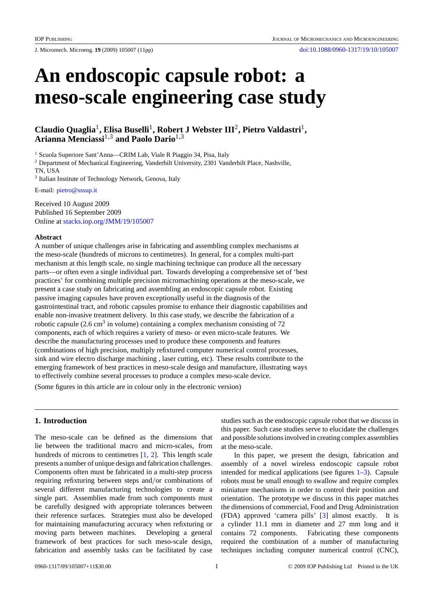J. Micromech. Microeng. **19** (2009) 105007 (11pp) [doi:10.1088/0960-1317/19/10/105007](http://dx.doi.org/10.1088/0960-1317/19/10/105007)

# **An endoscopic capsule robot: a meso-scale engineering case study**

**Claudio Quaglia**1**, Elisa Buselli**1**, Robert J Webster III**2**, Pietro Valdastri**1**, Arianna Menciassi**1,3 **and Paolo Dario**1,3

<sup>1</sup> Scuola Superiore Sant'Anna—CRIM Lab, Viale R Piaggio 34, Pisa, Italy

<sup>2</sup> Department of Mechanical Engineering, Vanderbilt University, 2301 Vanderbilt Place, Nashville, TN, USA

<sup>3</sup> Italian Institute of Technology Network, Genova, Italy

E-mail: [pietro@sssup.it](mailto:pietro@sssup.it)

Received 10 August 2009 Published 16 September 2009 Online at [stacks.iop.org/JMM/19/105007](http://stacks.iop.org/JMM/19/105007)

# **Abstract**

A number of unique challenges arise in fabricating and assembling complex mechanisms at the meso-scale (hundreds of microns to centimetres). In general, for a complex multi-part mechanism at this length scale, no single machining technique can produce all the necessary parts—or often even a single individual part. Towards developing a comprehensive set of 'best practices' for combining multiple precision micromachining operations at the meso-scale, we present a case study on fabricating and assembling an endoscopic capsule robot. Existing passive imaging capsules have proven exceptionally useful in the diagnosis of the gastrointestinal tract, and robotic capsules promise to enhance their diagnostic capabilities and enable non-invasive treatment delivery. In this case study, we describe the fabrication of a robotic capsule  $(2.6 \text{ cm}^3 \text{ in volume})$  containing a complex mechanism consisting of 72 components, each of which requires a variety of meso- or even micro-scale features. We describe the manufacturing processes used to produce these components and features (combinations of high precision, multiply refixtured computer numerical control processes, sink and wire electro discharge machining , laser cutting, etc). These results contribute to the emerging framework of best practices in meso-scale design and manufacture, illustrating ways to effectively combine several processes to produce a complex meso-scale device.

(Some figures in this article are in colour only in the electronic version)

# **1. Introduction**

The meso-scale can be defined as the dimensions that lie between the traditional macro and micro-scales, from hundreds of microns to centimetres [\[1,](#page-10-0) [2](#page-10-0)]. This length scale presents a number of unique design and fabrication challenges. Components often must be fabricated in a multi-step process requiring refixturing between steps and*/*or combinations of several different manufacturing technologies to create a single part. Assemblies made from such components must be carefully designed with appropriate tolerances between their reference surfaces. Strategies must also be developed for maintaining manufacturing accuracy when refixturing or moving parts between machines. Developing a general framework of best practices for such meso-scale design, fabrication and assembly tasks can be facilitated by case

studies such as the endoscopic capsule robot that we discuss in this paper. Such case studies serve to elucidate the challenges and possible solutions involved in creating complex assemblies at the meso-scale.

In this paper, we present the design, fabrication and assembly of a novel wireless endoscopic capsule robot intended for medical applications (see figures [1–3\)](#page-1-0). Capsule robots must be small enough to swallow and require complex miniature mechanisms in order to control their position and orientation. The prototype we discuss in this paper matches the dimensions of commercial, Food and Drug Administration (FDA) approved 'camera pills' [\[3\]](#page-10-0) almost exactly. It is a cylinder 11.1 mm in diameter and 27 mm long and it contains 72 components. Fabricating these components required the combination of a number of manufacturing techniques including computer numerical control (CNC),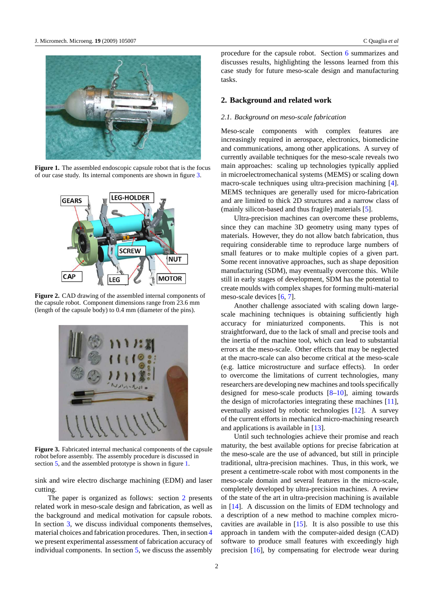<span id="page-1-0"></span>

**Figure 1.** The assembled endoscopic capsule robot that is the focus of our case study. Its internal components are shown in figure 3.



**Figure 2.** CAD drawing of the assembled internal components of the capsule robot. Component dimensions range from 23.6 mm (length of the capsule body) to 0.4 mm (diameter of the pins).



**Figure 3.** Fabricated internal mechanical components of the capsule robot before assembly. The assembly procedure is discussed in section [5,](#page-8-0) and the assembled prototype is shown in figure 1.

sink and wire electro discharge machining (EDM) and laser cutting.

The paper is organized as follows: section 2 presents related work in meso-scale design and fabrication, as well as the background and medical motivation for capsule robots. In section [3,](#page-2-0) we discuss individual components themselves, material choices and fabrication procedures. Then, in section [4](#page-6-0) we present experimental assessment of fabrication accuracy of individual components. In section [5,](#page-8-0) we discuss the assembly

procedure for the capsule robot. Section [6](#page-8-0) summarizes and discusses results, highlighting the lessons learned from this case study for future meso-scale design and manufacturing tasks.

# **2. Background and related work**

## *2.1. Background on meso-scale fabrication*

Meso-scale components with complex features are increasingly required in aerospace, electronics, biomedicine and communications, among other applications. A survey of currently available techniques for the meso-scale reveals two main approaches: scaling up technologies typically applied in microelectromechanical systems (MEMS) or scaling down macro-scale techniques using ultra-precision machining [\[4](#page-10-0)]. MEMS techniques are generally used for micro-fabrication and are limited to thick 2D structures and a narrow class of (mainly silicon-based and thus fragile) materials [\[5\]](#page-10-0).

Ultra-precision machines can overcome these problems, since they can machine 3D geometry using many types of materials. However, they do not allow batch fabrication, thus requiring considerable time to reproduce large numbers of small features or to make multiple copies of a given part. Some recent innovative approaches, such as shape deposition manufacturing (SDM), may eventually overcome this. While still in early stages of development, SDM has the potential to create moulds with complex shapes for forming multi-material meso-scale devices [\[6](#page-10-0), [7](#page-10-0)].

Another challenge associated with scaling down largescale machining techniques is obtaining sufficiently high accuracy for miniaturized components. This is not straightforward, due to the lack of small and precise tools and the inertia of the machine tool, which can lead to substantial errors at the meso-scale. Other effects that may be neglected at the macro-scale can also become critical at the meso-scale (e.g. lattice microstructure and surface effects). In order to overcome the limitations of current technologies, many researchers are developing new machines and tools specifically designed for meso-scale products  $[8-10]$ , aiming towards the design of microfactories integrating these machines [\[11](#page-10-0)], eventually assisted by robotic technologies [\[12\]](#page-10-0). A survey of the current efforts in mechanical micro-machining research and applications is available in [\[13](#page-10-0)].

Until such technologies achieve their promise and reach maturity, the best available options for precise fabrication at the meso-scale are the use of advanced, but still in principle traditional, ultra-precision machines. Thus, in this work, we present a centimetre-scale robot with most components in the meso-scale domain and several features in the micro-scale, completely developed by ultra-precision machines. A review of the state of the art in ultra-precision machining is available in [\[14](#page-10-0)]. A discussion on the limits of EDM technology and a description of a new method to machine complex microcavities are available in [\[15\]](#page-10-0). It is also possible to use this approach in tandem with the computer-aided design (CAD) software to produce small features with exceedingly high precision [\[16](#page-10-0)], by compensating for electrode wear during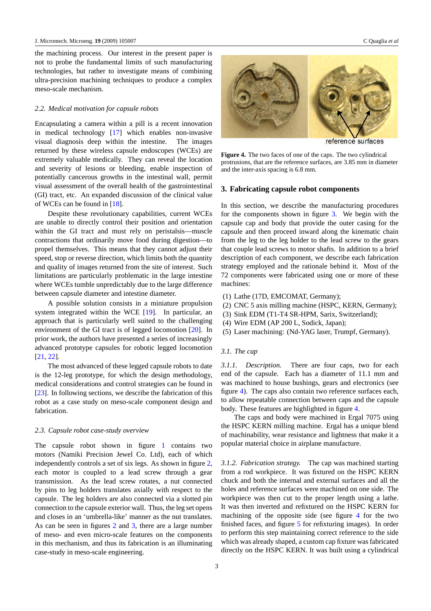<span id="page-2-0"></span>the machining process. Our interest in the present paper is not to probe the fundamental limits of such manufacturing technologies, but rather to investigate means of combining ultra-precision machining techniques to produce a complex meso-scale mechanism.

### *2.2. Medical motivation for capsule robots*

Encapsulating a camera within a pill is a recent innovation in medical technology [\[17](#page-10-0)] which enables non-invasive visual diagnosis deep within the intestine. The images returned by these wireless capsule endoscopes (WCEs) are extremely valuable medically. They can reveal the location and severity of lesions or bleeding, enable inspection of potentially cancerous growths in the intestinal wall, permit visual assessment of the overall health of the gastrointestinal (GI) tract, etc. An expanded discussion of the clinical value of WCEs can be found in [\[18\]](#page-10-0).

Despite these revolutionary capabilities, current WCEs are unable to directly control their position and orientation within the GI tract and must rely on peristalsis—muscle contractions that ordinarily move food during digestion—to propel themselves. This means that they cannot adjust their speed, stop or reverse direction, which limits both the quantity and quality of images returned from the site of interest. Such limitations are particularly problematic in the large intestine where WCEs tumble unpredictably due to the large difference between capsule diameter and intestine diameter.

A possible solution consists in a miniature propulsion system integrated within the WCE [\[19\]](#page-10-0). In particular, an approach that is particularly well suited to the challenging environment of the GI tract is of legged locomotion [\[20\]](#page-10-0). In prior work, the authors have presented a series of increasingly advanced prototype capsules for robotic legged locomotion [\[21](#page-10-0), [22](#page-10-0)].

The most advanced of these legged capsule robots to date is the 12-leg prototype, for which the design methodology, medical considerations and control strategies can be found in [\[23](#page-10-0)]. In following sections, we describe the fabrication of this robot as a case study on meso-scale component design and fabrication.

#### *2.3. Capsule robot case-study overview*

The capsule robot shown in figure [1](#page-1-0) contains two motors (Namiki Precision Jewel Co. Ltd), each of which independently controls a set of six legs. As shown in figure [2,](#page-1-0) each motor is coupled to a lead screw through a gear transmission. As the lead screw rotates, a nut connected by pins to leg holders translates axially with respect to the capsule. The leg holders are also connected via a slotted pin connection to the capsule exterior wall. Thus, the leg set opens and closes in an 'umbrella-like' manner as the nut translates. As can be seen in figures [2](#page-1-0) and [3,](#page-1-0) there are a large number of meso- and even micro-scale features on the components in this mechanism, and thus its fabrication is an illuminating case-study in meso-scale engineering.

3



reference surfaces

**Figure 4.** The two faces of one of the caps. The two cylindrical protrusions, that are the reference surfaces, are 3.85 mm in diameter and the inter-axis spacing is 6.8 mm.

### **3. Fabricating capsule robot components**

In this section, we describe the manufacturing procedures for the components shown in figure [3.](#page-1-0) We begin with the capsule cap and body that provide the outer casing for the capsule and then proceed inward along the kinematic chain from the leg to the leg holder to the lead screw to the gears that couple lead screws to motor shafts. In addition to a brief description of each component, we describe each fabrication strategy employed and the rationale behind it. Most of the 72 components were fabricated using one or more of these machines:

- (1) Lathe (17D, EMCOMAT, Germany);
- (2) CNC 5 axis milling machine (HSPC, KERN, Germany);
- (3) Sink EDM (T1-T4 SR-HPM, Sarix, Switzerland);
- (4) Wire EDM (AP 200 L, Sodick, Japan);
- (5) Laser machining: (Nd-YAG laser, Trumpf, Germany).

# *3.1. The cap*

*3.1.1. Description.* There are four caps, two for each end of the capsule. Each has a diameter of 11.1 mm and was machined to house bushings, gears and electronics (see figure 4). The caps also contain two reference surfaces each, to allow repeatable connection between caps and the capsule body. These features are highlighted in figure 4.

The caps and body were machined in Ergal 7075 using the HSPC KERN milling machine. Ergal has a unique blend of machinability, wear resistance and lightness that make it a popular material choice in airplane manufacture.

*3.1.2. Fabrication strategy.* The cap was machined starting from a rod workpiece. It was fixtured on the HSPC KERN chuck and both the internal and external surfaces and all the holes and reference surfaces were machined on one side. The workpiece was then cut to the proper length using a lathe. It was then inverted and refixtured on the HSPC KERN for machining of the opposite side (see figure 4 for the two finished faces, and figure [5](#page-3-0) for refixturing images). In order to perform this step maintaining correct reference to the side which was already shaped, a custom cap fixture was fabricated directly on the HSPC KERN. It was built using a cylindrical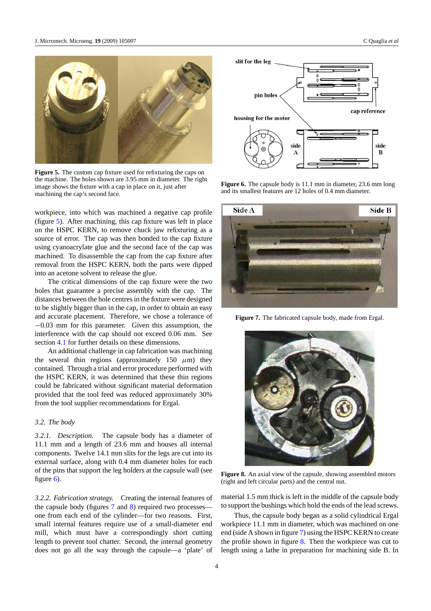<span id="page-3-0"></span>

**Figure 5.** The custom cap fixture used for refixturing the caps on the machine. The holes shown are 3.95 mm in diameter. The right image shows the fixture with a cap in place on it, just after machining the cap's second face.

workpiece, into which was machined a negative cap profile (figure 5). After machining, this cap fixture was left in place on the HSPC KERN, to remove chuck jaw refixturing as a source of error. The cap was then bonded to the cap fixture using cyanoacrylate glue and the second face of the cap was machined. To disassemble the cap from the cap fixture after removal from the HSPC KERN, both the parts were dipped into an acetone solvent to release the glue.

The critical dimensions of the cap fixture were the two holes that guarantee a precise assembly with the cap. The distances between the hole centres in the fixture were designed to be slightly bigger than in the cap, in order to obtain an easy and accurate placement. Therefore, we chose a tolerance of −0.03 mm for this parameter. Given this assumption, the interference with the cap should not exceed 0.06 mm. See section [4.1](#page-6-0) for further details on these dimensions.

An additional challenge in cap fabrication was machining the several thin regions (approximately 150 *μ*m) they contained. Through a trial and error procedure performed with the HSPC KERN, it was determined that these thin regions could be fabricated without significant material deformation provided that the tool feed was reduced approximately 30% from the tool supplier recommendations for Ergal.

## *3.2. The body*

*3.2.1. Description.* The capsule body has a diameter of 11.1 mm and a length of 23.6 mm and houses all internal components. Twelve 14.1 mm slits for the legs are cut into its external surface, along with 0.4 mm diameter holes for each of the pins that support the leg holders at the capsule wall (see figure 6).

*3.2.2. Fabrication strategy.* Creating the internal features of the capsule body (figures 7 and 8) required two processes one from each end of the cylinder—for two reasons. First, small internal features require use of a small-diameter end mill, which must have a correspondingly short cutting length to prevent tool chatter. Second, the internal geometry does not go all the way through the capsule—a 'plate' of



**Figure 6.** The capsule body is 11.1 mm in diameter, 23.6 mm long and its smallest features are 12 holes of 0.4 mm diameter.



**Figure 7.** The fabricated capsule body, made from Ergal.



**Figure 8.** An axial view of the capsule, showing assembled motors (right and left circular parts) and the central nut.

material 1.5 mm thick is left in the middle of the capsule body to support the bushings which hold the ends of the lead screws.

Thus, the capsule body began as a solid cylindrical Ergal workpiece 11.1 mm in diameter, which was machined on one end (side A shown in figure 7) using the HSPC KERN to create the profile shown in figure 8. Then the workpiece was cut to length using a lathe in preparation for machining side B. In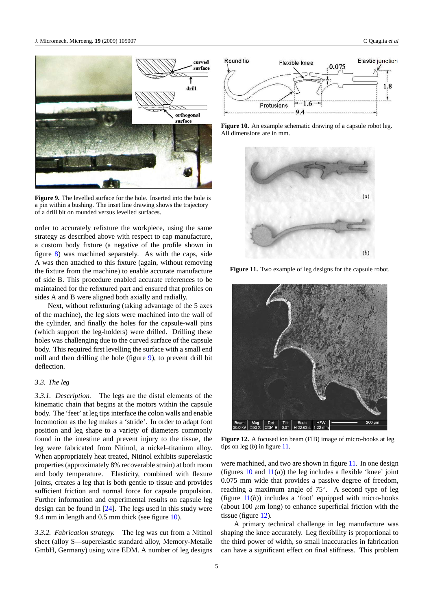<span id="page-4-0"></span>

**Figure 9.** The levelled surface for the hole. Inserted into the hole is a pin within a bushing. The inset line drawing shows the trajectory of a drill bit on rounded versus levelled surfaces.

order to accurately refixture the workpiece, using the same strategy as described above with respect to cap manufacture, a custom body fixture (a negative of the profile shown in figure [8\)](#page-3-0) was machined separately. As with the caps, side A was then attached to this fixture (again, without removing the fixture from the machine) to enable accurate manufacture of side B. This procedure enabled accurate references to be maintained for the refixtured part and ensured that profiles on sides A and B were aligned both axially and radially.

Next, without refixturing (taking advantage of the 5 axes of the machine), the leg slots were machined into the wall of the cylinder, and finally the holes for the capsule-wall pins (which support the leg-holders) were drilled. Drilling these holes was challenging due to the curved surface of the capsule body. This required first levelling the surface with a small end mill and then drilling the hole (figure 9), to prevent drill bit deflection.

#### *3.3. The leg*

*3.3.1. Description.* The legs are the distal elements of the kinematic chain that begins at the motors within the capsule body. The 'feet' at leg tips interface the colon walls and enable locomotion as the leg makes a 'stride'. In order to adapt foot position and leg shape to a variety of diameters commonly found in the intestine and prevent injury to the tissue, the leg were fabricated from Nitinol, a nickel–titanium alloy. When appropriately heat treated, Nitinol exhibits superelastic properties (approximately 8% recoverable strain) at both room and body temperature. Elasticity, combined with flexure joints, creates a leg that is both gentle to tissue and provides sufficient friction and normal force for capsule propulsion. Further information and experimental results on capsule leg design can be found in [\[24\]](#page-10-0). The legs used in this study were 9.4 mm in length and 0.5 mm thick (see figure 10).

*3.3.2. Fabrication strategy.* The leg was cut from a Nitinol sheet (alloy S—superelastic standard alloy, Memory-Metalle GmbH, Germany) using wire EDM. A number of leg designs







**Figure 11.** Two example of leg designs for the capsule robot.



**Figure 12.** A focused ion beam (FIB) image of micro-hooks at leg tips on leg (*b*) in figure 11.

were machined, and two are shown in figure 11. In one design (figures  $10$  and  $11(a)$ ) the leg includes a flexible 'knee' joint 0.075 mm wide that provides a passive degree of freedom, reaching a maximum angle of 75◦. A second type of leg (figure  $11(b)$ ) includes a 'foot' equipped with micro-hooks (about 100  $\mu$ m long) to enhance superficial friction with the tissue (figure 12).

A primary technical challenge in leg manufacture was shaping the knee accurately. Leg flexibility is proportional to the third power of width, so small inaccuracies in fabrication can have a significant effect on final stiffness. This problem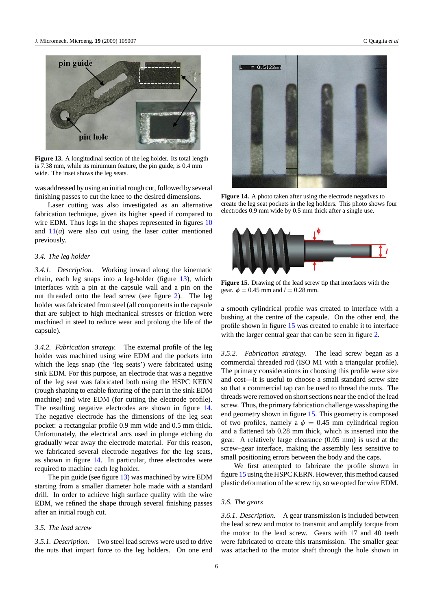<span id="page-5-0"></span>

**Figure 13.** A longitudinal section of the leg holder. Its total length is 7.38 mm, while its minimum feature, the pin guide, is 0.4 mm wide. The inset shows the leg seats.

was addressed by using an initial rough cut, followed by several finishing passes to cut the knee to the desired dimensions.

Laser cutting was also investigated as an alternative fabrication technique, given its higher speed if compared to wire EDM. Thus legs in the shapes represented in figures  $10$ and  $11(a)$  $11(a)$  were also cut using the laser cutter mentioned previously.

# *3.4. The leg holder*

*3.4.1. Description.* Working inward along the kinematic chain, each leg snaps into a leg-holder (figure 13), which interfaces with a pin at the capsule wall and a pin on the nut threaded onto the lead screw (see figure [2\)](#page-1-0). The leg holder was fabricated from steel (all components in the capsule that are subject to high mechanical stresses or friction were machined in steel to reduce wear and prolong the life of the capsule).

*3.4.2. Fabrication strategy.* The external profile of the leg holder was machined using wire EDM and the pockets into which the legs snap (the 'leg seats') were fabricated using sink EDM. For this purpose, an electrode that was a negative of the leg seat was fabricated both using the HSPC KERN (rough shaping to enable fixturing of the part in the sink EDM machine) and wire EDM (for cutting the electrode profile). The resulting negative electrodes are shown in figure 14. The negative electrode has the dimensions of the leg seat pocket: a rectangular profile 0.9 mm wide and 0.5 mm thick. Unfortunately, the electrical arcs used in plunge etching do gradually wear away the electrode material. For this reason, we fabricated several electrode negatives for the leg seats, as shown in figure 14. In particular, three electrodes were required to machine each leg holder.

The pin guide (see figure 13) was machined by wire EDM starting from a smaller diameter hole made with a standard drill. In order to achieve high surface quality with the wire EDM, we refined the shape through several finishing passes after an initial rough cut.

# *3.5. The lead screw*

*3.5.1. Description.* Two steel lead screws were used to drive the nuts that impart force to the leg holders. On one end



**Figure 14.** A photo taken after using the electrode negatives to create the leg seat pockets in the leg holders. This photo shows four electrodes 0.9 mm wide by 0.5 mm thick after a single use.



**Figure 15.** Drawing of the lead screw tip that interfaces with the gear.  $\phi = 0.45$  mm and  $l = 0.28$  mm.

a smooth cylindrical profile was created to interface with a bushing at the centre of the capsule. On the other end, the profile shown in figure 15 was created to enable it to interface with the larger central gear that can be seen in figure [2.](#page-1-0)

*3.5.2. Fabrication strategy.* The lead screw began as a commercial threaded rod (ISO M1 with a triangular profile). The primary considerations in choosing this profile were size and cost—it is useful to choose a small standard screw size so that a commercial tap can be used to thread the nuts. The threads were removed on short sections near the end of the lead screw. Thus, the primary fabrication challenge was shaping the end geometry shown in figure 15. This geometry is composed of two profiles, namely a  $\phi = 0.45$  mm cylindrical region and a flattened tab 0.28 mm thick, which is inserted into the gear. A relatively large clearance (0.05 mm) is used at the screw–gear interface, making the assembly less sensitive to small positioning errors between the body and the caps.

We first attempted to fabricate the profile shown in figure 15 using the HSPC KERN. However, this method caused plastic deformation of the screw tip, so we opted for wire EDM.

## *3.6. The gears*

*3.6.1. Description.* A gear transmission is included between the lead screw and motor to transmit and amplify torque from the motor to the lead screw. Gears with 17 and 40 teeth were fabricated to create this transmission. The smaller gear was attached to the motor shaft through the hole shown in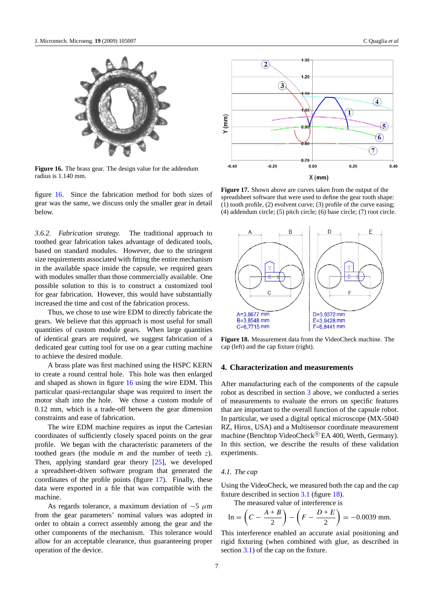<span id="page-6-0"></span>

**Figure 16.** The brass gear. The design value for the addendum radius is 1.140 mm.

figure 16. Since the fabrication method for both sizes of gear was the same, we discuss only the smaller gear in detail below.

*3.6.2. Fabrication strategy.* The traditional approach to toothed gear fabrication takes advantage of dedicated tools, based on standard modules. However, due to the stringent size requirements associated with fitting the entire mechanism in the available space inside the capsule, we required gears with modules smaller than those commercially available. One possible solution to this is to construct a customized tool for gear fabrication. However, this would have substantially increased the time and cost of the fabrication process.

Thus, we chose to use wire EDM to directly fabricate the gears. We believe that this approach is most useful for small quantities of custom module gears. When large quantities of identical gears are required, we suggest fabrication of a dedicated gear cutting tool for use on a gear cutting machine to achieve the desired module.

A brass plate was first machined using the HSPC KERN to create a round central hole. This hole was then enlarged and shaped as shown in figure 16 using the wire EDM. This particular quasi-rectangular shape was required to insert the motor shaft into the hole. We chose a custom module of 0.12 mm, which is a trade-off between the gear dimension constraints and ease of fabrication.

The wire EDM machine requires as input the Cartesian coordinates of sufficiently closely spaced points on the gear profile. We began with the characteristic parameters of the toothed gears (the module *m* and the number of teeth *z*). Then, applying standard gear theory [\[25\]](#page-10-0), we developed a spreadsheet-driven software program that generated the coordinates of the profile points (figure 17). Finally, these data were exported in a file that was compatible with the machine.

As regards tolerance, a maximum deviation of −5 *μ*m from the gear parameters' nominal values was adopted in order to obtain a correct assembly among the gear and the other components of the mechanism. This tolerance would allow for an acceptable clearance, thus guaranteeing proper operation of the device.



**Figure 17.** Shown above are curves taken from the output of the spreadsheet software that were used to define the gear tooth shape: (1) tooth profile, (2) evolvent curve; (3) profile of the curve easing; (4) addendum circle; (5) pitch circle; (6) base circle; (7) root circle.



**Figure 18.** Measurement data from the VideoCheck machine. The cap (left) and the cap fixture (right).

#### **4. Characterization and measurements**

After manufacturing each of the components of the capsule robot as described in section [3](#page-2-0) above, we conducted a series of measurements to evaluate the errors on specific features that are important to the overall function of the capsule robot. In particular, we used a digital optical microscope (MX-5040 RZ, Hirox, USA) and a Multisensor coordinate measurement machine (Benchtop VideoCheck<sup>®</sup> EA 400, Werth, Germany). In this section, we describe the results of these validation experiments.

## *4.1. The cap*

Using the VideoCheck, we measured both the cap and the cap fixture described in section [3.1](#page-2-0) (figure 18).

The measured value of interference is

In = 
$$
\left(C - \frac{A+B}{2}\right) - \left(F - \frac{D+E}{2}\right) = -0.0039
$$
 mm.

This interference enabled an accurate axial positioning and rigid fixturing (when combined with glue, as described in section [3.1\)](#page-2-0) of the cap on the fixture.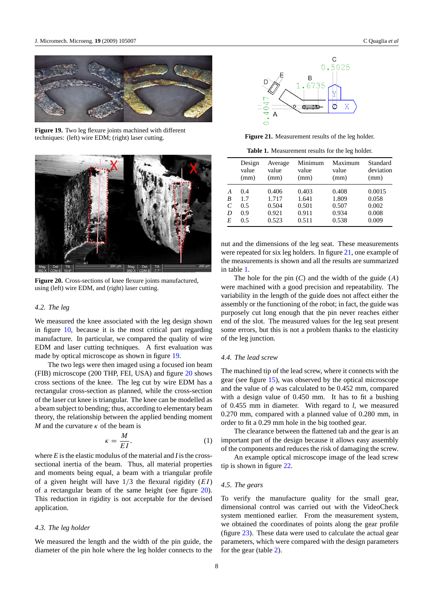

**Figure 19.** Two leg flexure joints machined with different techniques: (left) wire EDM; (right) laser cutting.



**Figure 20.** Cross-sections of knee flexure joints manufactured, using (left) wire EDM, and (right) laser cutting.

# *4.2. The leg*

We measured the knee associated with the leg design shown in figure [10,](#page-4-0) because it is the most critical part regarding manufacture. In particular, we compared the quality of wire EDM and laser cutting techniques. A first evaluation was made by optical microscope as shown in figure 19.

The two legs were then imaged using a focused ion beam (FIB) microscope (200 THP, FEI, USA) and figure 20 shows cross sections of the knee. The leg cut by wire EDM has a rectangular cross-section as planned, while the cross-section of the laser cut knee is triangular. The knee can be modelled as a beam subject to bending; thus, according to elementary beam theory, the relationship between the applied bending moment *M* and the curvature *κ* of the beam is

$$
\kappa = \frac{M}{EI},\tag{1}
$$

where *E* is the elastic modulus of the material and *I* is the crosssectional inertia of the beam. Thus, all material properties and moments being equal, a beam with a triangular profile of a given height will have 1*/*3 the flexural rigidity (*EI* ) of a rectangular beam of the same height (see figure 20). This reduction in rigidity is not acceptable for the devised application.

#### *4.3. The leg holder*

We measured the length and the width of the pin guide, the diameter of the pin hole where the leg holder connects to the



**Figure 21.** Measurement results of the leg holder.

**Table 1.** Measurement results for the leg holder.

|   | Design<br>value<br>(mm) | Average<br>value<br>(mm) | Minimum<br>value<br>(mm) | Maximum<br>value<br>(mm) | Standard<br>deviation<br>(mm) |
|---|-------------------------|--------------------------|--------------------------|--------------------------|-------------------------------|
| A | 0.4                     | 0.406                    | 0.403                    | 0.408                    | 0.0015                        |
| B | 1.7                     | 1.717                    | 1.641                    | 1.809                    | 0.058                         |
| C | 0.5                     | 0.504                    | 0.501                    | 0.507                    | 0.002                         |
| D | 0.9                     | 0.921                    | 0.911                    | 0.934                    | 0.008                         |
| E | 0.5                     | 0.523                    | 0.511                    | 0.538                    | 0.009                         |

nut and the dimensions of the leg seat. These measurements were repeated for six leg holders. In figure 21, one example of the measurements is shown and all the results are summarized in table 1.

The hole for the pin (*C*) and the width of the guide (*A*) were machined with a good precision and repeatability. The variability in the length of the guide does not affect either the assembly or the functioning of the robot; in fact, the guide was purposely cut long enough that the pin never reaches either end of the slot. The measured values for the leg seat present some errors, but this is not a problem thanks to the elasticity of the leg junction.

#### *4.4. The lead screw*

The machined tip of the lead screw, where it connects with the gear (see figure [15\)](#page-5-0), was observed by the optical microscope and the value of *φ* was calculated to be 0.452 mm, compared with a design value of 0.450 mm. It has to fit a bushing of 0.455 mm in diameter. With regard to *l*, we measured 0.270 mm, compared with a planned value of 0.280 mm, in order to fit a 0.29 mm hole in the big toothed gear.

The clearance between the flattened tab and the gear is an important part of the design because it allows easy assembly of the components and reduces the risk of damaging the screw.

An example optical microscope image of the lead screw tip is shown in figure [22.](#page-8-0)

# *4.5. The gears*

To verify the manufacture quality for the small gear, dimensional control was carried out with the VideoCheck system mentioned earlier. From the measurement system, we obtained the coordinates of points along the gear profile (figure [23\)](#page-8-0). These data were used to calculate the actual gear parameters, which were compared with the design parameters for the gear (table [2\)](#page-8-0).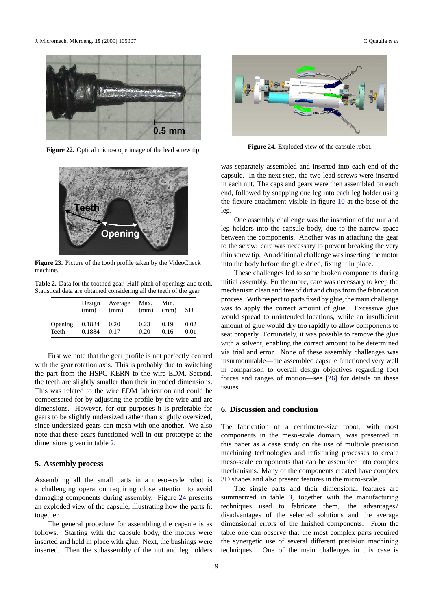<span id="page-8-0"></span>

**Figure 22.** Optical microscope image of the lead screw tip.



**Figure 23.** Picture of the tooth profile taken by the VideoCheck machine.

**Table 2.** Data for the toothed gear. Half-pitch of openings and teeth. Statistical data are obtained considering all the teeth of the gear

|         | Design<br>(mm) | Average<br>(mm) | Max.<br>(mm) | Min.<br>(mm) | <b>SD</b> |
|---------|----------------|-----------------|--------------|--------------|-----------|
| Opening | 0.1884         | 0.20            | 0.23         | 0.19         | 0.02      |
| Teeth   | 0.1884         | 0.17            | 0.20         | 0.16         | 0.01      |

First we note that the gear profile is not perfectly centred with the gear rotation axis. This is probably due to switching the part from the HSPC KERN to the wire EDM. Second, the teeth are slightly smaller than their intended dimensions. This was related to the wire EDM fabrication and could be compensated for by adjusting the profile by the wire and arc dimensions. However, for our purposes it is preferable for gears to be slightly undersized rather than slightly oversized, since undersized gears can mesh with one another. We also note that these gears functioned well in our prototype at the dimensions given in table 2.

### **5. Assembly process**

Assembling all the small parts in a meso-scale robot is a challenging operation requiring close attention to avoid damaging components during assembly. Figure 24 presents an exploded view of the capsule, illustrating how the parts fit together.

The general procedure for assembling the capsule is as follows. Starting with the capsule body, the motors were inserted and held in place with glue. Next, the bushings were inserted. Then the subassembly of the nut and leg holders



**Figure 24.** Exploded view of the capsule robot.

was separately assembled and inserted into each end of the capsule. In the next step, the two lead screws were inserted in each nut. The caps and gears were then assembled on each end, followed by snapping one leg into each leg holder using the flexure attachment visible in figure [10](#page-4-0) at the base of the leg.

One assembly challenge was the insertion of the nut and leg holders into the capsule body, due to the narrow space between the components. Another was in attaching the gear to the screw: care was necessary to prevent breaking the very thin screw tip. An additional challenge was inserting the motor into the body before the glue dried, fixing it in place.

These challenges led to some broken components during initial assembly. Furthermore, care was necessary to keep the mechanism clean and free of dirt and chips from the fabrication process. With respect to parts fixed by glue, the main challenge was to apply the correct amount of glue. Excessive glue would spread to unintended locations, while an insufficient amount of glue would dry too rapidly to allow components to seat properly. Fortunately, it was possible to remove the glue with a solvent, enabling the correct amount to be determined via trial and error. None of these assembly challenges was insurmountable—the assembled capsule functioned very well in comparison to overall design objectives regarding foot forces and ranges of motion—see  $[26]$  for details on these issues.

## **6. Discussion and conclusion**

The fabrication of a centimetre-size robot, with most components in the meso-scale domain, was presented in this paper as a case study on the use of multiple precision machining technologies and refixturing processes to create meso-scale components that can be assembled into complex mechanisms. Many of the components created have complex 3D shapes and also present features in the micro-scale.

The single parts and their dimensional features are summarized in table [3,](#page-9-0) together with the manufacturing techniques used to fabricate them, the advantages*/* disadvantages of the selected solutions and the average dimensional errors of the finished components. From the table one can observe that the most complex parts required the synergetic use of several different precision machining techniques. One of the main challenges in this case is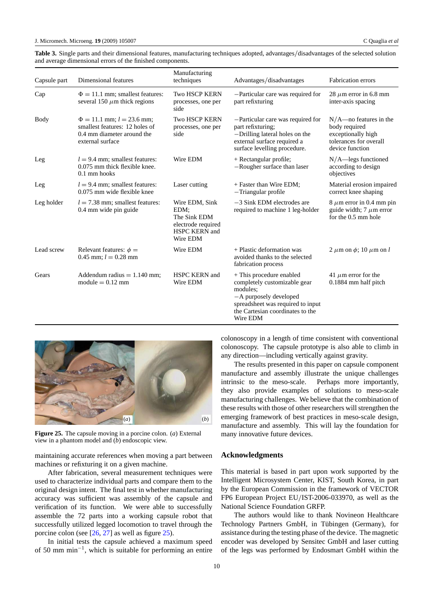<span id="page-9-0"></span>**Table 3.** Single parts and their dimensional features, manufacturing techniques adopted, advantages*/*disadvantages of the selected solution and average dimensional errors of the finished components.

| Capsule part | Dimensional features                                                                                                 | Manufacturing<br>techniques                                                                      | Advantages/disadvantages                                                                                                                                                            | <b>Fabrication</b> errors                                                                                     |
|--------------|----------------------------------------------------------------------------------------------------------------------|--------------------------------------------------------------------------------------------------|-------------------------------------------------------------------------------------------------------------------------------------------------------------------------------------|---------------------------------------------------------------------------------------------------------------|
| Cap          | $\Phi = 11.1$ mm; smallest features:<br>several 150 $\mu$ m thick regions                                            | <b>Two HSCP KERN</b><br>processes, one per<br>side                                               | -Particular care was required for<br>part refixturing                                                                                                                               | 28 $\mu$ m error in 6.8 mm<br>inter-axis spacing                                                              |
| Body         | $\Phi = 11.1$ mm; $l = 23.6$ mm;<br>smallest features: 12 holes of<br>0.4 mm diameter around the<br>external surface | <b>Two HSCP KERN</b><br>processes, one per<br>side                                               | -Particular care was required for<br>part refixturing;<br>-Drilling lateral holes on the<br>external surface required a<br>surface levelling procedure.                             | $N/A$ —no features in the<br>body required<br>exceptionally high<br>tolerances for overall<br>device function |
| Leg          | $l = 9.4$ mm; smallest features:<br>0.075 mm thick flexible knee.<br>0.1 mm hooks                                    | Wire EDM                                                                                         | + Rectangular profile;<br>-Rougher surface than laser                                                                                                                               | $N/A$ —legs functioned<br>according to design<br>objectives                                                   |
| Leg          | $l = 9.4$ mm; smallest features:<br>$0.075$ mm wide flexible knee                                                    | Laser cutting                                                                                    | + Faster than Wire EDM;<br>-Triangular profile                                                                                                                                      | Material erosion impaired<br>correct knee shaping                                                             |
| Leg holder   | $l = 7.38$ mm; smallest features:<br>0.4 mm wide pin guide                                                           | Wire EDM, Sink<br>EDM:<br>The Sink EDM<br>electrode required<br><b>HSPC KERN and</b><br>Wire EDM | $-3$ Sink EDM electrodes are<br>required to machine 1 leg-holder                                                                                                                    | $8 \mu m$ error in 0.4 mm pin<br>guide width; 7 $\mu$ m error<br>for the 0.5 mm hole                          |
| Lead screw   | Relevant features: $\phi =$<br>0.45 mm; $l = 0.28$ mm                                                                | Wire EDM                                                                                         | + Plastic deformation was<br>avoided thanks to the selected<br>fabrication process                                                                                                  | 2 $\mu$ m on $\phi$ ; 10 $\mu$ m on l                                                                         |
| Gears        | Addendum radius $= 1.140$ mm:<br>module $= 0.12$ mm                                                                  | <b>HSPC KERN and</b><br>Wire EDM                                                                 | + This procedure enabled<br>completely customizable gear<br>modules:<br>-A purposely developed<br>spreadsheet was required to input<br>the Cartesian coordinates to the<br>Wire EDM | 41 $\mu$ m error for the<br>0.1884 mm half pitch                                                              |



**Figure 25.** The capsule moving in a porcine colon. (*a*) External view in a phantom model and (*b*) endoscopic view.

maintaining accurate references when moving a part between machines or refixturing it on a given machine.

After fabrication, several measurement techniques were used to characterize individual parts and compare them to the original design intent. The final test in whether manufacturing accuracy was sufficient was assembly of the capsule and verification of its function. We were able to successfully assemble the 72 parts into a working capsule robot that successfully utilized legged locomotion to travel through the porcine colon (see [\[26,](#page-10-0) [27\]](#page-10-0) as well as figure 25).

In initial tests the capsule achieved a maximum speed of 50 mm min−1, which is suitable for performing an entire colonoscopy in a length of time consistent with conventional colonoscopy. The capsule prototype is also able to climb in any direction—including vertically against gravity.

The results presented in this paper on capsule component manufacture and assembly illustrate the unique challenges intrinsic to the meso-scale. Perhaps more importantly, they also provide examples of solutions to meso-scale manufacturing challenges. We believe that the combination of these results with those of other researchers will strengthen the emerging framework of best practices in meso-scale design, manufacture and assembly. This will lay the foundation for many innovative future devices.

## **Acknowledgments**

This material is based in part upon work supported by the Intelligent Microsystem Center, KIST, South Korea, in part by the European Commission in the framework of VECTOR FP6 European Project EU*/*IST-2006-033970, as well as the National Science Foundation GRFP.

The authors would like to thank Novineon Healthcare Technology Partners GmbH, in Tübingen (Germany), for assistance during the testing phase of the device. The magnetic encoder was developed by Sensitec GmbH and laser cutting of the legs was performed by Endosmart GmbH within the